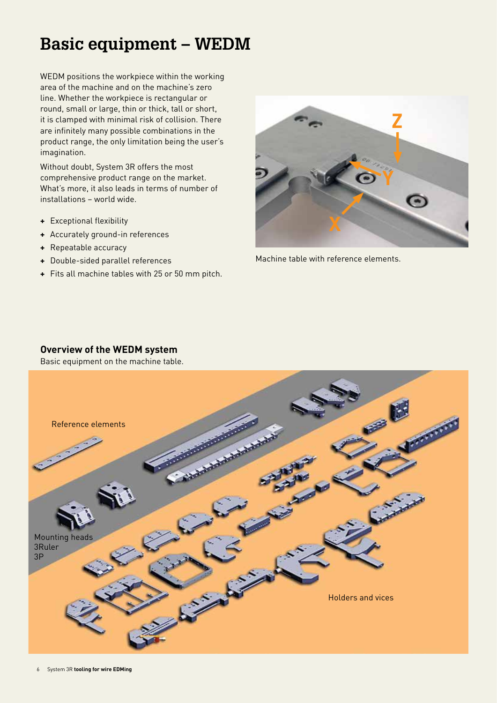# **Basic equipment – WEDM**

WEDM positions the workpiece within the working area of the machine and on the machine's zero line. Whether the workpiece is rectangular or round, small or large, thin or thick, tall or short, it is clamped with minimal risk of collision. There are infinitely many possible combinations in the product range, the only limitation being the user's imagination.

Without doubt, System 3R offers the most comprehensive product range on the market. What's more, it also leads in terms of number of installations – world wide.

- **+** Exceptional flexibility
- **+** Accurately ground-in references
- **+** Repeatable accuracy
- **+** Double-sided parallel references
- **+** Fits all machine tables with 25 or 50 mm pitch.



Machine table with reference elements.

### **Overview of the WEDM system**

Basic equipment on the machine table.